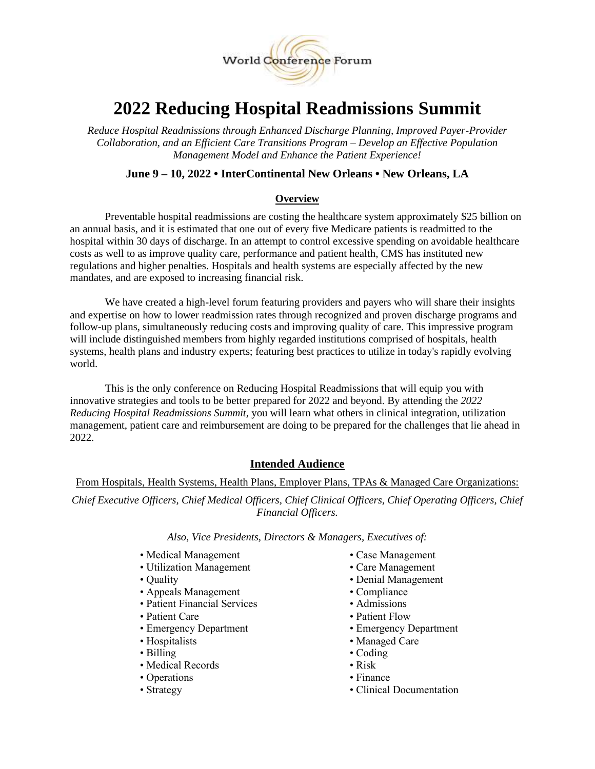

# **2022 Reducing Hospital Readmissions Summit**

*Reduce Hospital Readmissions through Enhanced Discharge Planning, Improved Payer-Provider Collaboration, and an Efficient Care Transitions Program – Develop an Effective Population Management Model and Enhance the Patient Experience!* 

## **June 9 – 10, 2022 • InterContinental New Orleans • New Orleans, LA**

#### **Overview**

Preventable hospital readmissions are costing the healthcare system approximately \$25 billion on an annual basis, and it is estimated that one out of every five Medicare patients is readmitted to the hospital within 30 days of discharge. In an attempt to control excessive spending on avoidable healthcare costs as well to as improve quality care, performance and patient health, CMS has instituted new regulations and higher penalties. Hospitals and health systems are especially affected by the new mandates, and are exposed to increasing financial risk.

We have created a high-level forum featuring providers and payers who will share their insights and expertise on how to lower readmission rates through recognized and proven discharge programs and follow-up plans, simultaneously reducing costs and improving quality of care. This impressive program will include distinguished members from highly regarded institutions comprised of hospitals, health systems, health plans and industry experts; featuring best practices to utilize in today's rapidly evolving world.

This is the only conference on Reducing Hospital Readmissions that will equip you with innovative strategies and tools to be better prepared for 2022 and beyond. By attending the *2022 Reducing Hospital Readmissions Summit*, you will learn what others in clinical integration, utilization management, patient care and reimbursement are doing to be prepared for the challenges that lie ahead in 2022.

## **Intended Audience**

From Hospitals, Health Systems, Health Plans, Employer Plans, TPAs & Managed Care Organizations:

*Chief Executive Officers, Chief Medical Officers, Chief Clinical Officers, Chief Operating Officers, Chief Financial Officers.*

#### *Also, Vice Presidents, Directors & Managers, Executives of:*

- Medical Management Case Management
- Utilization Management Care Management
- 
- Appeals Management Compliance
- Patient Financial Services Admissions
- 
- 
- 
- 
- Medical Records Risk
- Operations Finance
- 
- 
- 
- Quality Denial Management
	-
	-
- Patient Care Patient Flow
- Emergency Department Emergency Department
- Hospitalists Managed Care
- Billing Coding
	-
	-
- Strategy Clinical Documentation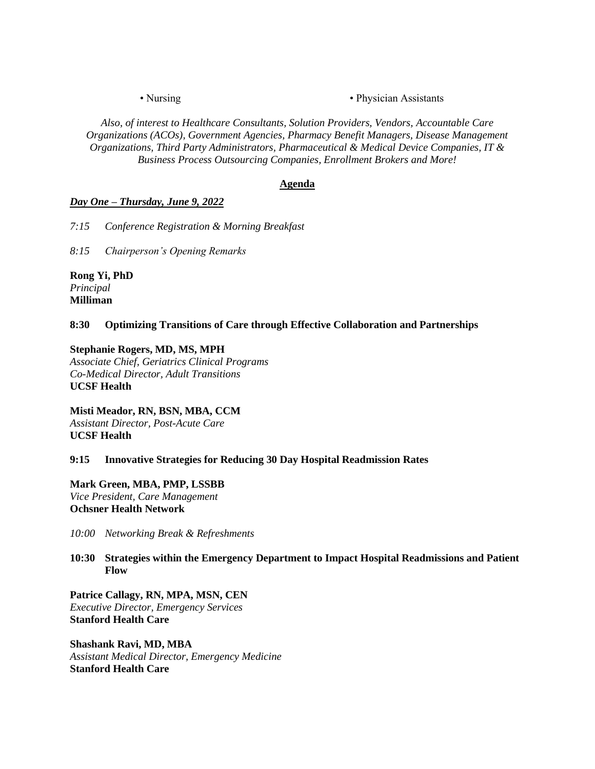• Nursing • Physician Assistants

*Also, of interest to Healthcare Consultants, Solution Providers, Vendors, Accountable Care Organizations (ACOs), Government Agencies, Pharmacy Benefit Managers, Disease Management Organizations, Third Party Administrators, Pharmaceutical & Medical Device Companies, IT & Business Process Outsourcing Companies, Enrollment Brokers and More!*

#### **Agenda**

#### *Day One – Thursday, June 9, 2022*

*7:15 Conference Registration & Morning Breakfast*

*8:15 Chairperson's Opening Remarks*

**Rong Yi, PhD** *Principal* **Milliman**

**8:30 Optimizing Transitions of Care through Effective Collaboration and Partnerships**

## **Stephanie Rogers, MD, MS, MPH**

*Associate Chief, Geriatrics Clinical Programs Co-Medical Director, Adult Transitions* **UCSF Health**

**Misti Meador, RN, BSN, MBA, CCM** *Assistant Director, Post-Acute Care* **UCSF Health**

#### **9:15 Innovative Strategies for Reducing 30 Day Hospital Readmission Rates**

**Mark Green, MBA, PMP, LSSBB** *Vice President, Care Management* **Ochsner Health Network**

*10:00 Networking Break & Refreshments* 

#### **10:30 Strategies within the Emergency Department to Impact Hospital Readmissions and Patient Flow**

**Patrice Callagy, RN, MPA, MSN, CEN** *Executive Director, Emergency Services* **Stanford Health Care**

**Shashank Ravi, MD, MBA** *Assistant Medical Director, Emergency Medicine* **Stanford Health Care**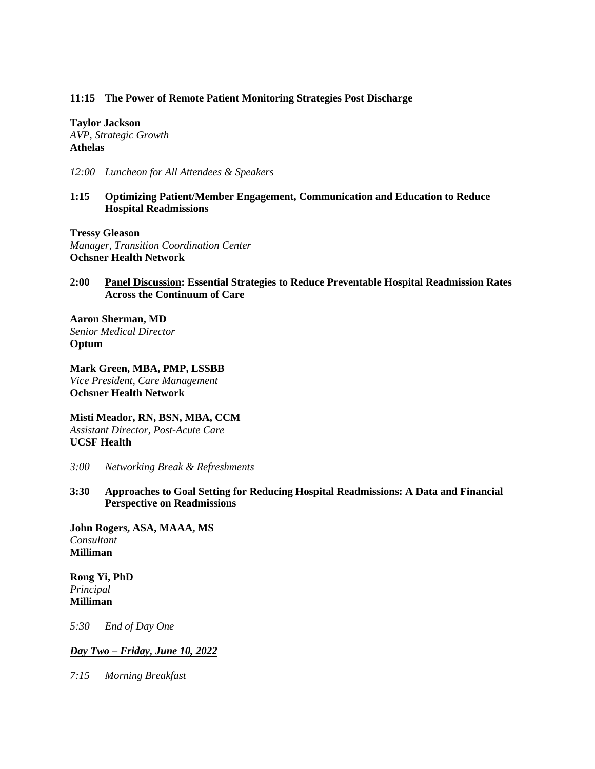#### **11:15 The Power of Remote Patient Monitoring Strategies Post Discharge**

**Taylor Jackson** *AVP, Strategic Growth* **Athelas**

*12:00 Luncheon for All Attendees & Speakers*

#### **1:15 Optimizing Patient/Member Engagement, Communication and Education to Reduce Hospital Readmissions**

**Tressy Gleason** *Manager, Transition Coordination Center* **Ochsner Health Network**

## **2:00 Panel Discussion: Essential Strategies to Reduce Preventable Hospital Readmission Rates Across the Continuum of Care**

**Aaron Sherman, MD** *Senior Medical Director* **Optum**

**Mark Green, MBA, PMP, LSSBB** *Vice President, Care Management* **Ochsner Health Network**

**Misti Meador, RN, BSN, MBA, CCM** *Assistant Director, Post-Acute Care* **UCSF Health**

- *3:00 Networking Break & Refreshments*
- **3:30 Approaches to Goal Setting for Reducing Hospital Readmissions: A Data and Financial Perspective on Readmissions**

**John Rogers, ASA, MAAA, MS** *Consultant* **Milliman**

**Rong Yi, PhD** *Principal* **Milliman**

*5:30 End of Day One*

#### *Day Two – Friday, June 10, 2022*

*7:15 Morning Breakfast*